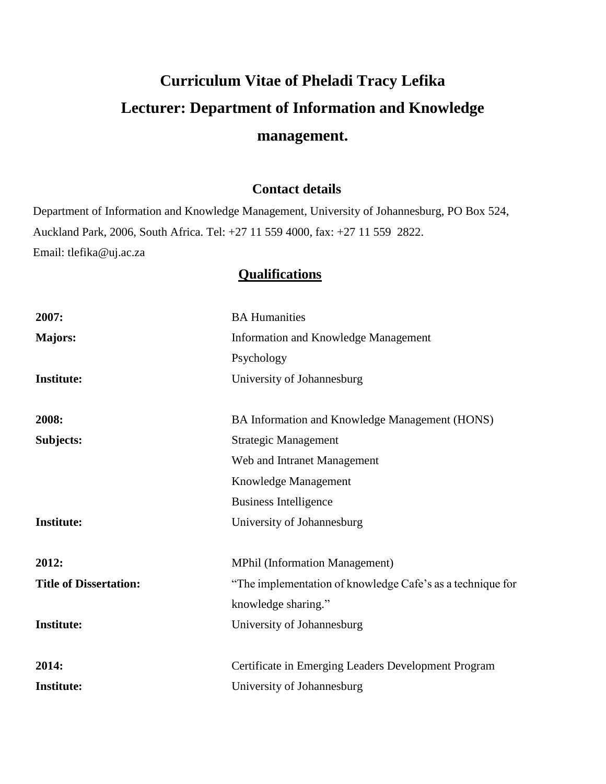# **Curriculum Vitae of Pheladi Tracy Lefika Lecturer: Department of Information and Knowledge management.**

## **Contact details**

Department of Information and Knowledge Management, University of Johannesburg, PO Box 524, Auckland Park, 2006, South Africa. Tel: +27 11 559 4000, fax: +27 11 559 2822. Email: tlefika@uj.ac.za

# **Qualifications**

| 2007:                         | <b>BA Humanities</b>                                       |
|-------------------------------|------------------------------------------------------------|
| <b>Majors:</b>                | Information and Knowledge Management                       |
|                               | Psychology                                                 |
| <b>Institute:</b>             | University of Johannesburg                                 |
|                               |                                                            |
| 2008:                         | BA Information and Knowledge Management (HONS)             |
| Subjects:                     | <b>Strategic Management</b>                                |
|                               | Web and Intranet Management                                |
|                               | Knowledge Management                                       |
|                               | <b>Business Intelligence</b>                               |
| <b>Institute:</b>             | University of Johannesburg                                 |
| 2012:                         | <b>MPhil (Information Management)</b>                      |
| <b>Title of Dissertation:</b> | "The implementation of knowledge Cafe's as a technique for |
|                               | knowledge sharing."                                        |
| <b>Institute:</b>             | University of Johannesburg                                 |
|                               |                                                            |
| 2014:                         | Certificate in Emerging Leaders Development Program        |
| <b>Institute:</b>             | University of Johannesburg                                 |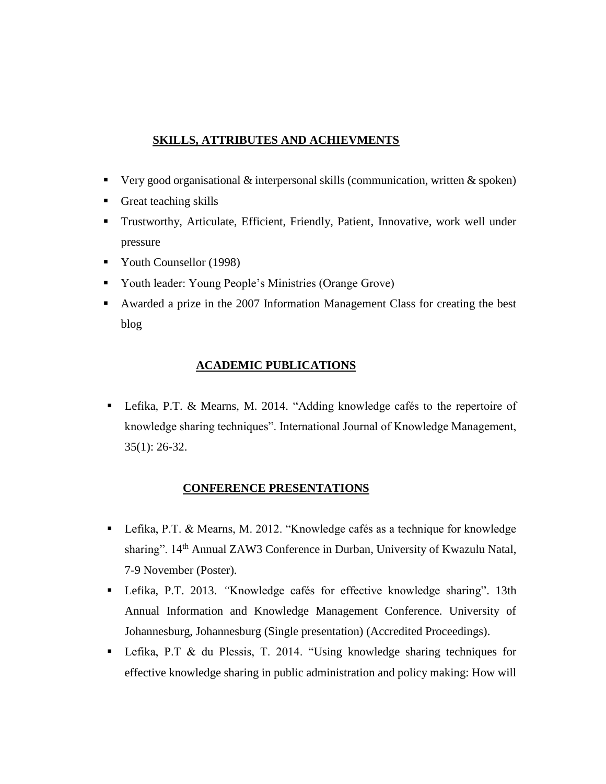## **SKILLS, ATTRIBUTES AND ACHIEVMENTS**

- Very good organisational & interpersonal skills (communication, written & spoken)
- Great teaching skills
- Trustworthy, Articulate, Efficient, Friendly, Patient, Innovative, work well under pressure
- Vouth Counsellor (1998)
- Youth leader: Young People's Ministries (Orange Grove)
- Awarded a prize in the 2007 Information Management Class for creating the best blog

### **ACADEMIC PUBLICATIONS**

■ Lefika, P.T. & Mearns, M. 2014. "Adding knowledge cafés to the repertoire of knowledge sharing techniques". International Journal of Knowledge Management, 35(1): 26-32.

### **CONFERENCE PRESENTATIONS**

- Lefika, P.T. & Mearns, M. 2012. "Knowledge cafés as a technique for knowledge sharing". 14<sup>th</sup> Annual ZAW3 Conference in Durban, University of Kwazulu Natal, 7-9 November (Poster).
- Lefika, P.T. 2013. *"*Knowledge cafés for effective knowledge sharing". 13th Annual Information and Knowledge Management Conference. University of Johannesburg, Johannesburg (Single presentation) (Accredited Proceedings).
- Lefika, P.T & du Plessis, T. 2014. "Using knowledge sharing techniques for effective knowledge sharing in public administration and policy making: How will